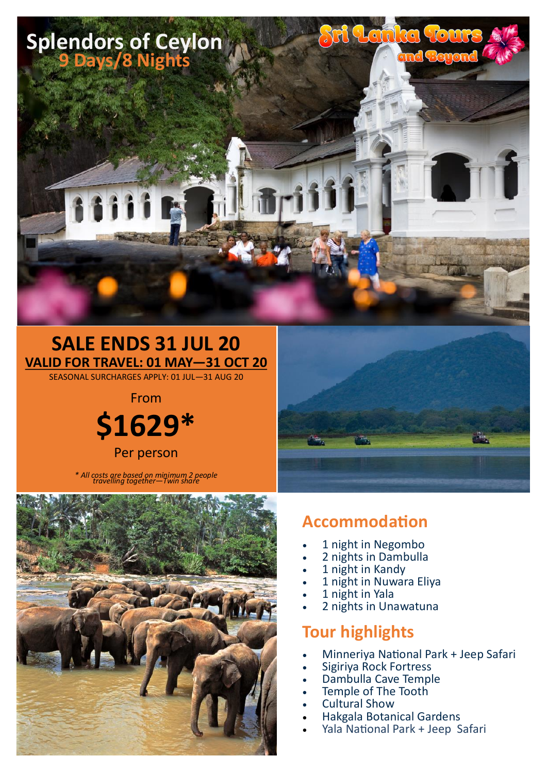

# **SALE ENDS 31 JUL 20 VALID FOR TRAVEL: 01 MAY—31 OCT 20**

SEASONAL SURCHARGES APPLY: 01 JUL—31 AUG 20



*\* All costs are based on minimum 2 people travelling together—Twin share*



## **Accommodation**

- 1 night in Negombo
- 2 nights in Dambulla
- 1 night in Kandy
- 1 night in Nuwara Eliya
- 1 night in Yala
- 2 nights in Unawatuna

### **Tour highlights**

- Minneriya National Park + Jeep Safari
- Sigiriya Rock Fortress
- Dambulla Cave Temple
- Temple of The Tooth
- Cultural Show
- Hakgala Botanical Gardens
- Yala National Park + Jeep Safari